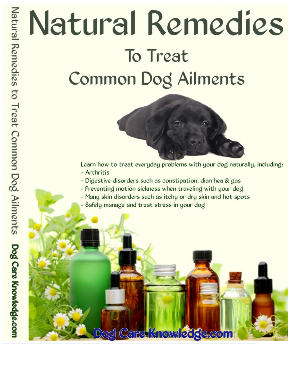# Natural Remedies To Treat Common Dog Ailments



Learn how to treat everyday problems with your dog naturally, including: - Arthritis

- Digestive disorders such as constipation, diarrhea & gas
- Preventing motion sickness when traveling with your dog
- Many skin disorders such as itchy or dry skin and hot spots

Dog Care Knowledge.com

- Safely manage and treat stress in your dog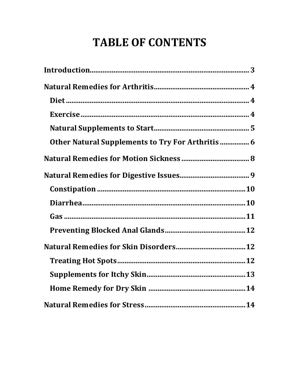# **TABLE OF CONTENTS**

| Other Natural Supplements to Try For Arthritis  6 |  |
|---------------------------------------------------|--|
|                                                   |  |
|                                                   |  |
|                                                   |  |
|                                                   |  |
|                                                   |  |
|                                                   |  |
|                                                   |  |
|                                                   |  |
|                                                   |  |
|                                                   |  |
|                                                   |  |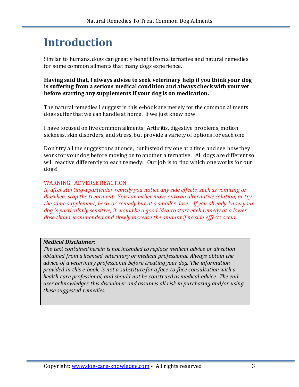# **Introduction**

Similar to humans, dogs can greatly benefit from alternative and natural remedies for some common ailments that many dogs experience.

**Having said that, I always advise to seek veterinary help if you think your dog is suffering from a serious medical condition and always check with your vet before starting any supplements if your dog is on medication.**

The natural remedies I suggest in this e-book are merely for the common ailments dogs suffer that we can handle at home. If we just knew how!

I have focused on five common ailments; Arthritis, digestive problems, motion sickness, skin disorders, and stress, but provide a variety of options for each one.

Don't try all the suggestions at once, but instead try one at a time and see how they work for your dog before moving on to another alternative. All dogs are different so will reactive differently to each remedy. Our job is to find which one works for our dogs!

#### WARNING: ADVERSE REACTION

*If, after starting a particular remedy you notice any side effects, such as vomiting or diarrhea, stop the treatment. You can either move onto an alternative solution, or try the same supplement, herb, or remedy but at a smaller dose. If you already know your dog is particularly sensitive, it would be a good idea to start each remedy at a lower dose than recommended and slowly increase the amount if no side effects occur.*

#### *Medical Disclaimer:*

*The text contained herein is not intended to replace medical advice or direction obtained from a licensed veterinary or medical professional. Always obtain the advice of a veterinary professional before treating your dog. The information provided in this e-book, is not a substitute for a face-to-face consultation with a health care professional, and should not be construed as medical advice. The end user acknowledges this disclaimer and assumes all risk in purchasing and/or using these suggested remedies.*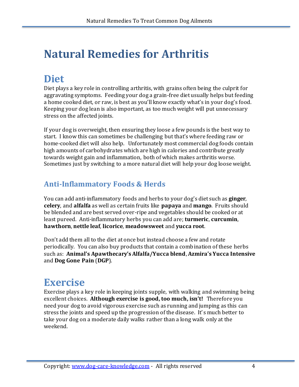# **Natural Remedies for Arthritis**

# **Diet**

Diet plays a key role in controlling arthritis, with grains often being the culprit for aggravating symptoms. Feeding your dog a grain-free diet usually helps but feeding a home cooked diet, or raw, is best as you'll know exactly what's in your dog's food. Keeping your dog lean is also important, as too much weight will put unnecessary stress on the affected joints.

If your dog is overweight, then ensuring they loose a few pounds is the best way to start. I know this can sometimes be challenging but that's where feeding raw or home-cooked diet will also help. Unfortunately most commercial dog foods contain high amounts of carbohydrates which are high in calories and contribute greatly towards weight gain and inflammation, both of which makes arthritis worse. Sometimes just by switching to a more natural diet will help your dog loose weight.

#### **Anti-Inflammatory Foods & Herds**

You can add anti-inflammatory foods and herbs to your dog's diet such as **ginger**, **celery**, and **alfalfa** as well as certain fruits like **papaya** and **mango**. Fruits should be blended and are best served over-ripe and vegetables should be cooked or at least pureed. Anti-inflammatory herbs you can add are; **turmeric**, **curcumin**, **hawthorn**, **nettle leaf**, **licorice**, **meadowsweet** and **yucca root**.

Don't add them all to the diet at once but instead choose a few and rotate periodically. You can also buy products that contain a combination of these herbs such as: **Animal's Apawthecary's Alfalfa/Yucca blend**, **Azmira's Yucca Intensive** and **Dog Gone Pain** (**DGP**).

# **Exercise**

Exercise plays a key role in keeping joints supple, with walking and swimming being excellent choices. **Although exercise is good, too much, isn't!** Therefore you need your dog to avoid vigorous exercise such as running and jumping as this can stress the joints and speed up the progression of the disease. It' s much better to take your dog on a moderate daily walks rather than a long walk only at the weekend.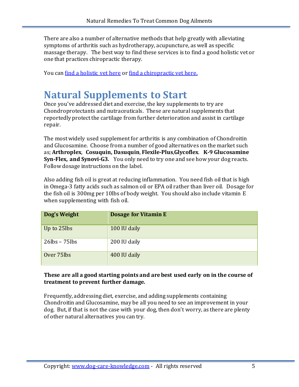There are also a number of alternative methods that help greatly with alleviating symptoms of arthritis such as hydrotherapy, acupuncture, as well as specific massage therapy. The best way to find these services is to find a good holistic vet or one that practices chiropractic therapy.

You can [find a holistic vet here](http://www.ahvma.org/Widgets/FindVet.html) or [find a chiropractic vet here.](http://www.avcadoctors.com/search_for_avca_certified_doctor.htm)

### **Natural Supplements to Start**

Once you've addressed diet and exercise, the key supplements to try are Chondroprotectants and nutraceuticals. These are natural supplements that reportedly protect the cartilage from further deterioration and assist in cartilage repair.

The most widely used supplement for arthritis is any combination of Chondroitin and Glucosamine. Choose from a number of good alternatives on the market such as; **Arthroplex**, **Cosuquin, Dasuquin**, **Flexile-Plus**,**Glycoflex**. **K-9 Glucosamine Syn-Flex, and Synovi-G3.** You only need to try one and see how your dog reacts. Follow dosage instructions on the label.

Also adding fish oil is great at reducing inflammation. You need fish oil that is high in Omega-3 fatty acids such as salmon oil or EPA oil rather than liver oil. Dosage for the fish oil is 300mg per 10lbs of body weight. You should also include vitamin E when supplementing with fish oil.

| Dog's Weight        | Dosage for Vitamin E |
|---------------------|----------------------|
| Up to 25lbs         | 100 IU daily         |
| $26$ lbs – $75$ lbs | 200 IU daily         |
| Over 75lbs          | 400 IU daily         |

#### **These are all a good starting points and are best used early on in the course of treatment to prevent further damage.**

Frequently, addressing diet, exercise, and adding supplements containing Chondroitin and Glucosamine, may be all you need to see an improvement in your dog. But, if that is not the case with your dog, then don't worry, as there are plenty of other natural alternatives you can try.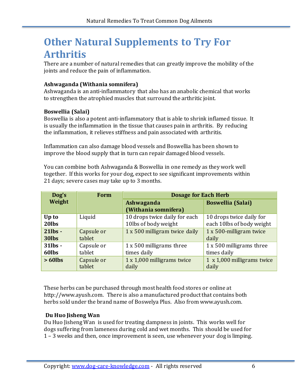# **Other Natural Supplements to Try For Arthritis**

There are a number of natural remedies that can greatly improve the mobility of the joints and reduce the pain of inflammation.

#### **Ashwaganda (Withania somnifera)**

Ashwaganda is an anti-inflammatory that also has an anabolic chemical that works to strengthen the atrophied muscles that surround the arthritic joint.

#### **Boswellia (Salai)**

Boswellia is also a potent anti-inflammatory that is able to shrink inflamed tissue. It is usually the inflammation in the tissue that causes pain in arthritis. By reducing the inflammation, it relieves stiffness and pain associated with arthritis.

Inflammation can also damage blood vessels and Boswellia has been shown to improve the blood supply that in turn can repair damaged blood vessels.

You can combine both Ashwaganda & Boswellia in one remedy as they work well together. If this works for your dog, expect to see significant improvements within 21 days; severe cases may take up to 3 months.

| Dog's      | Form       | <b>Dosage for Each Herb</b>        |                            |
|------------|------------|------------------------------------|----------------------------|
| Weight     |            | Ashwaganda<br>(Withania somnifera) | <b>Boswellia (Salai)</b>   |
| Up to      | Liquid     | 10 drops twice daily for each      | 10 drops twice daily for   |
| 20lbs      |            | 10lbs of body weight               | each 10lbs of body weight  |
| $21$ lbs - | Capsule or | 1 x 500 milligram twice daily      | 1 x 500-milligram twice    |
| 30lbs      | tablet     |                                    | daily                      |
| $31$ lbs - | Capsule or | 1 x 500 milligrams three           | 1 x 500 milligrams three   |
| 60lbs      | tablet     | times daily                        | times daily                |
| $>60$ lbs  | Capsule or | 1 x 1,000 milligrams twice         | 1 x 1,000 milligrams twice |
|            | tablet     | daily                              | daily                      |

These herbs can be purchased through most health food stores or online at http://www.ayush.com. There is also a manufactured product that contains both herbs sold under the brand name of Boswelya Plus. Also from www.ayush.com.

#### **Du Huo Jisheng Wan**

Du Huo Jisheng Wan is used for treating dampness in joints. This works well for dogs suffering from lameness during cold and wet months. This should be used for 1 – 3 weeks and then, once improvement is seen, use whenever your dog is limping.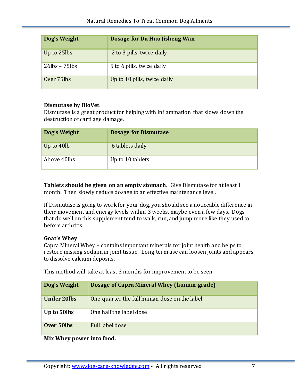| Dog's Weight        | Dosage for Du Huo Jisheng Wan |
|---------------------|-------------------------------|
| Up to 25lbs         | 2 to 3 pills, twice daily     |
| $26$ lbs – $75$ lbs | 5 to 6 pills, twice daily     |
| Over 75lbs          | Up to 10 pills, twice daily   |

#### **Dismutase by BioVet**.

Dismutase is a great product for helping with inflammation that slows down the destruction of cartilage damage.

| Dog's Weight | <b>Dosage for Dismutase</b> |
|--------------|-----------------------------|
| Up to 40lb   | 6 tablets daily             |
| Above 40lbs  | Up to 10 tablets            |

**Tablets should be given on an empty stomach.** Give Dismutase for at least 1 month. Then slowly reduce dosage to an effective maintenance level.

If Dismutase is going to work for your dog, you should see a noticeable difference in their movement and energy levels within 3 weeks, maybe even a few days. Dogs that do well on this supplement tend to walk, run, and jump more like they used to before arthritis.

#### **Goat's Whey**

Capra Mineral Whey – contains important minerals for joint health and helps to restore missing sodium in joint tissue. Long-term use can loosen joints and appears to dissolve calcium deposits.

This method will take at least 3 months for improvement to be seen.

| Dog's Weight       | Dosage of Capra Mineral Whey (human-grade)   |
|--------------------|----------------------------------------------|
| <b>Under 20lbs</b> | One-quarter the full human dose on the label |
| Up to 50lbs        | One half the label dose                      |
| Over 50lbs         | Full label dose                              |

**Mix Whey power into food.**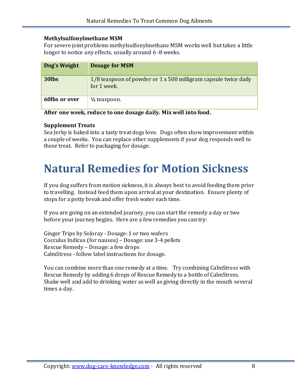#### **Methylsulfonylmethane MSM**

For severe joint problems methylsulfonylmethane MSM works well but takes a little longer to notice any effects, usually around 6 -8 weeks.

| Dog's Weight  | <b>Dosage for MSM</b>                                                          |
|---------------|--------------------------------------------------------------------------------|
| 30lbs         | 1/8 teaspoon of powder or 1 x 500 milligram capsule twice daily<br>for 1 week. |
| 60lbs or over | $\frac{1}{4}$ teaspoon.                                                        |

**After one week, reduce to one dosage daily. Mix well into food.**

#### **Supplement Treats**

Sea Jerky is baked into a tasty treat dogs love. Dogs often show improvement within a couple of weeks. You can replace other supplements if your dog responds well to these treat. Refer to packaging for dosage.

# **Natural Remedies for Motion Sickness**

If you dog suffers from motion sickness, it is always best to avoid feeding them prior to travelling. Instead feed them upon arrival at your destination. Ensure plenty of stops for a potty break and offer fresh water each time.

If you are going on an extended journey, you can start the remedy a day or two before your journey begins. Here are a few remedies you can try:

Ginger Trips by Soloray - Dosage: 1 or two wafers Cocculus Indicus (for nausea) – Dosage: use 3-4 pellets Rescue Remedy – Dosage: a few drops CalmStress - follow label instructions for dosage.

You can combine more than one remedy at a time. Try combining CalmStress with Rescue Remedy by adding 6 drops of Rescue Remedy to a bottle of CalmStress. Shake well and add to drinking water as well as giving directly in the mouth several times a day.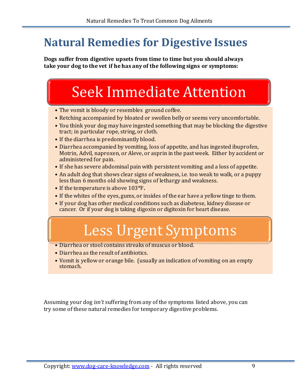# **Natural Remedies for Digestive Issues**

**Dogs suffer from digestive upsets from time to time but you should always take your dog to the vet if he has any of the following signs or symptoms:**

# Seek Immediate Attention

- The vomit is bloody or resembles ground coffee.
- Retching accompanied by bloated or swollen belly or seems very uncomfortable.
- You think your dog may have ingested something that may be blocking the digestive tract; in particular rope, string, or cloth.
- If the diarrhea is predominantly blood.
- Diarrhea accompanied by vomiting, loss of appetite, and has ingested ibuprofen, Motrin, Advil, naproxen, or Aleve, or asprin in the past week. Either by accident or administered for pain.
- If she has severe abdominal pain with persistent vomiting and a loss of appetite.
- An adult dog that shows clear signs of weakness, i.e. too weak to walk, or a puppy less than 6 months old showing signs of lethargy and weakness.
- If the temperature is above 103**°**F**.**
- If the whites of the eyes, gums, or insides of the ear have a yellow tinge to them.
- If your dog has other medical conditions such as diabetese, kidney disease or cancer. Or if your dog is taking digoxin or digitoxin for heart disease.

# Less Urgent Symptoms

- Diarrhea or stool contains streaks of muscus or blood.
- Diarrhea as the result of antibiotics.
- Vomit is yellow or orange bile. (usually an indication of vomiting on an empty stomach.

Assuming your dog *isn't* suffering from any of the symptoms listed above, you can try some of these natural remedies for temporary digestive problems.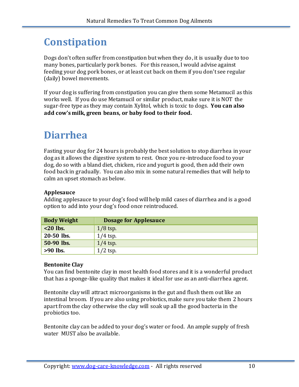# **Constipation**

Dogs don't often suffer from constipation but when they do, it is usually due to too many bones, particularly pork bones. For this reason, I would advise against feeding your dog pork bones, or at least cut back on them if you don't see regular (daily) bowel movements.

If your dog is suffering from constipation you can give them some Metamucil as this works well. If you do use Metamucil or similar product, make sure it is NOT the sugar-free type as they may contain Xylitol, which is toxic to dogs. **You can also add cow's milk, green beans, or baby food to their food.**

# **Diarrhea**

Fasting your dog for 24 hours is probably the best solution to stop diarrhea in your dog as it allows the digestive system to rest. Once you re-introduce food to your dog, do so with a bland diet, chicken, rice and yogurt is good, then add their own food back in gradually. You can also mix in some natural remedies that will help to calm an upset stomach as below.

#### **Applesauce**

Adding applesauce to your dog's food will help mild cases of diarrhea and is a good option to add into your dog's food once reintroduced.

| <b>Body Weight</b> | <b>Dosage for Applesauce</b> |
|--------------------|------------------------------|
| $<$ 20 lbs.        | $1/8$ tsp.                   |
| 20-50 lbs.         | $1/4$ tsp.                   |
| 50-90 lbs.         | $1/4$ tsp.                   |
| $>90$ lbs.         | $1/2$ tsp.                   |

#### **Bentonite Clay**

You can find bentonite clay in most health food stores and it is a wonderful product that has a sponge-like quality that makes it ideal for use as an anti-diarrhea agent.

Bentonite clay will attract microorganisms in the gut and flush them out like an intestinal broom. If you are also using probiotics, make sure you take them 2 hours apart from the clay otherwise the clay will soak up all the good bacteria in the probiotics too.

Bentonite clay can be added to your dog's water or food. An ample supply of fresh water MUST also be available.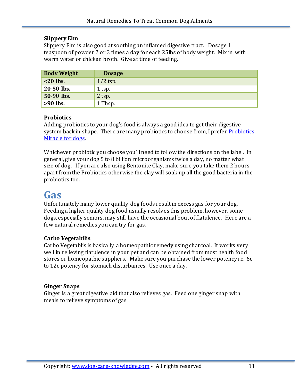#### **Slippery Elm**

Slippery Elm is also good at soothing an inflamed digestive tract. Dosage 1 teaspoon of powder 2 or 3 times a day for each 25lbs of body weight. Mix in with warm water or chicken broth. Give at time of feeding.

| <b>Body Weight</b> | <b>Dosage</b> |
|--------------------|---------------|
| $<$ 20 lbs.        | $1/2$ tsp.    |
| 20-50 lbs.         | 1 tsp.        |
| 50-90 lbs.         | $2$ tsp.      |
| $>90$ lbs.         | 1 Tbsp.       |

#### **Probiotics**

Adding probiotics to your dog's food is always a good idea to get their digestive system back in shape. There are many probiotics to choose from, I prefer [Probiotics](http://www.dog-care-knowledge.com/yeast-infection-in-dogs.html#probiotic)  [Miracle for dogs.](http://www.dog-care-knowledge.com/yeast-infection-in-dogs.html#probiotic)

Whichever probiotic you choose you'll need to follow the directions on the label. In general, give your dog 5 to 8 billion microorganisms twice a day, no matter what size of dog. If you are also using Bentonite Clay, make sure you take them 2 hours apart from the Probiotics otherwise the clay will soak up all the good bacteria in the probiotics too.

### **Gas**

Unfortunately many lower quality dog foods result in excess gas for your dog. Feeding a higher quality dog food usually resolves this problem, however, some dogs, especially seniors, may still have the occasional bout of flatulence. Here are a few natural remedies you can try for gas.

#### **Carbo Vegetabilis**

Carbo Vegetablis is basically a homeopathic remedy using charcoal. It works very well in relieving flatulence in your pet and can be obtained from most health food stores or homeopathic suppliers. Make sure you purchase the lower potency i.e. 6c to 12c potency for stomach disturbances. Use once a day.

#### **Ginger Snaps**

Ginger is a great digestive aid that also relieves gas. Feed one ginger snap with meals to relieve symptoms of gas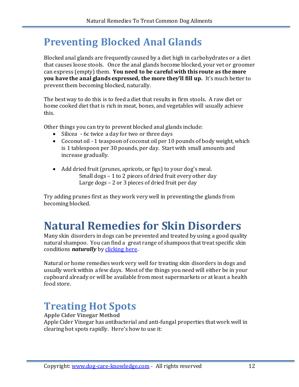# **Preventing Blocked Anal Glands**

Blocked anal glands are frequently caused by a diet high in carbohydrates or a diet that causes loose stools. Once the anal glands become blocked, your vet or groomer can express (empty) them. **You need to be careful with this route as the more you have the anal glands expressed, the more they'll fill up.** It's much better to prevent them becoming blocked, naturally.

The best way to do this is to feed a diet that results in firm stools. A raw diet or home cooked diet that is rich in meat, bones, and vegetables will usually achieve this.

Other things you can try to prevent blocked anal glands include:

- Silicea 6c twice a day for two or three days
- Coconut oil 1 teaspoon of coconut oil per 10 pounds of body weight, which is 1 tablespoon per 30 pounds, per day. Start with small amounts and increase gradually.
- Add dried fruit (prunes, apricots, or figs) to your dog's meal. Small dogs – 1 to 2 pieces of dried fruit every other day Large dogs – 2 or 3 pieces of dried fruit per day

Try adding prunes first as they work very well in preventing the glands from becoming blocked.

# **Natural Remedies for Skin Disorders**

Many skin disorders in dogs can be prevented and treated by using a good quality natural shampoo. You can find a great range of shampoos that treat specific skin conditions *naturally* b[y clicking here.](http://www.dog-care-knowledge.com/dog-shampoos.html)

Natural or home remedies work very well for treating skin disorders in dogs and usually work within a few days. Most of the things you need will either be in your cupboard already or will be available from most supermarkets or at least a health food store.

# **Treating Hot Spots**

**Apple Cider Vinegar Method** Apple Cider Vinegar has antibacterial and anti-fungal properties that work well in clearing hot spots rapidly. Here's how to use it: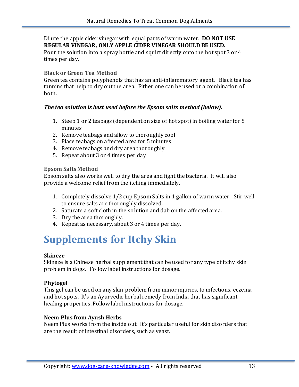Dilute the apple cider vinegar with equal parts of warm water. **DO NOT USE REGULAR VINEGAR, ONLY APPLE CIDER VINEGAR SHOULD BE USED.**

Pour the solution into a spray bottle and squirt directly onto the hot spot 3 or 4 times per day.

#### **Black or Green Tea Method**

Green tea contains polyphenols that has an anti-inflammatory agent. Black tea has tannins that help to dry out the area. Either one can be used or a combination of both.

#### *The tea solution is best used before the Epsom salts method (below).*

- 1. Steep 1 or 2 teabags (dependent on size of hot spot) in boiling water for 5 minutes
- 2. Remove teabags and allow to thoroughly cool
- 3. Place teabags on affected area for 5 minutes
- 4. Remove teabags and dry area thoroughly
- 5. Repeat about 3 or 4 times per day

#### **Epsom Salts Method**

Epsom salts also works well to dry the area and fight the bacteria. It will also provide a welcome relief from the itching immediately.

- 1. Completely dissolve 1/2 cup Epsom Salts in 1 gallon of warm water. Stir well to ensure salts are thoroughly dissolved.
- 2. Saturate a soft cloth in the solution and dab on the affected area.
- 3. Dry the area thoroughly.
- 4. Repeat as necessary, about 3 or 4 times per day.

# **Supplements for Itchy Skin**

#### **Skineze**

Skineze is a Chinese herbal supplement that can be used for any type of itchy skin problem in dogs. Follow label instructions for dosage.

#### **Phytogel**

This gel can be used on any skin problem from minor injuries, to infections, eczema and hot spots. It's an Ayurvedic herbal remedy from India that has significant healing properties. Follow label instructions for dosage.

#### **Neem Plus from Ayush Herbs**

Neem Plus works from the inside out. It's particular useful for skin disorders that are the result of intestinal disorders, such as yeast.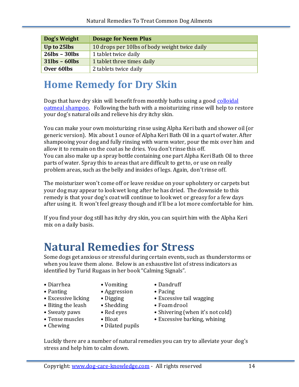| Dog's Weight        | <b>Dosage for Neem Plus</b>                   |
|---------------------|-----------------------------------------------|
| Up to 25lbs         | 10 drops per 10lbs of body weight twice daily |
| $26$ lbs - $30$ lbs | 1 tablet twice daily                          |
| $31$ lbs - 60lbs    | 1 tablet three times daily                    |
| Over 60lbs          | 2 tablets twice daily                         |

# **Home Remedy for Dry Skin**

Dogs that have dry skin will benefit from monthly baths using a good [colloidal](http://www.dog-care-knowledge.com/dog-shampoos.html)  [oatmeal shampoo.](http://www.dog-care-knowledge.com/dog-shampoos.html) Following the bath with a moisturizing rinse will help to restore your dog's natural oils and relieve his dry itchy skin.

You can make your own moisturizing rinse using Alpha Keri bath and shower oil (or generic version). Mix about 1 ounce of Alpha Keri Bath Oil in a quart of water. After shampooing your dog and fully rinsing with warm water, pour the mix over him and allow it to remain on the coat as he dries. You don't rinse this off. You can also make up a spray bottle containing one part Alpha Keri Bath Oil to three parts of water. Spray this to areas that are difficult to get to, or use on really problem areas, such as the belly and insides of legs. Again, don't rinse off.

The moisturizer won't come off or leave residue on your upholstery or carpets but your dog may appear to look wet long after he has dried. The downside to this remedy is that your dog's coat will continue to look wet or greasy for a few days after using it. It won't feel greasy though and it'll be a lot more comfortable for him.

If you find your dog still has itchy dry skin, you can squirt him with the Alpha Keri mix on a daily basis.

# **Natural Remedies for Stress**

Some dogs get anxious or stressful during certain events, such as thunderstorms or when you leave them alone. Below is an exhaustive list of stress indicators as identified by Turid Rugaas in her book "Calming Signals".

- Diarrhea Vomiting Dandruff
- 
- 
- Biting the leash Shedding Foam drool
- 
- 
- 
- 
- Panting Aggression Pacing
	-
	-
	-
	-
- Chewing Dilated pupils
- 
- 
- Excessive licking Digging Excessive tail wagging
	-
- Sweaty paws Red eyes Shivering (when it's not cold)
- Tense muscles Bloat Excessive barking, whining

Luckily there are a number of natural remedies you can try to alleviate your dog's stress and help him to calm down.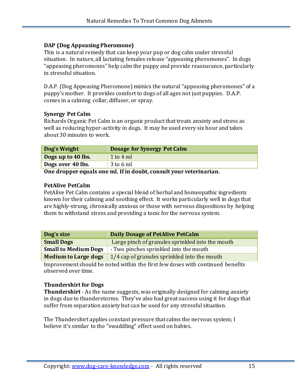#### **DAP (Dog Appeasing Pheromone)**

This is a natural remedy that can keep your pup or dog calm under stressful situation. In nature, all lactating females release "appeasing pheromones". In dogs "appeasing pheromones" help calm the puppy and provide reassurance, particularly in stressful situation.

D.A.P. (Dog Appeasing Pheromone) mimics the natural "appeasing pheromones" of a puppy's mother. It provides comfort to dogs of all ages not just puppies. D.A.P. comes in a calming collar, diffuser, or spray.

#### **Synergy Pet Calm**

Richards Organic Pet Calm is an organic product that treats anxiety and stress as well as reducing hyper-activity in dogs. It may be used every six hour and takes about 30 minutes to work.

| Dog's Weight       | <b>Dosage for Synergy Pet Calm</b> |
|--------------------|------------------------------------|
| Dogs up to 40 lbs. | 1 to $4 \text{ ml}$                |
| Dogs over 40 lbs.  | 3 to 6 ml                          |

**One dropper equals one ml. If in doubt, consult your veterinarian.**

#### **PetAlive PetCalm**

PetAlive Pet Calm contains a special blend of herbal and homeopathic ingredients known for their calming and soothing effect. It works particularly well in dogs that are highly-strung, chronically anxious or those with nervous dispositions by helping them to withstand stress and providing a tonic for the nervous system.

| Dog's size                  | <b>Daily Dosage of PetAlive PetCalm</b>          |
|-----------------------------|--------------------------------------------------|
| <b>Small Dogs</b>           | Large pinch of granules sprinkled into the mouth |
| <b>Small to Medium Dogs</b> | - Two pinches sprinkled into the mouth           |
| <b>Medium to Large dogs</b> | 1/4 cap of granules sprinkled into the mouth     |

Improvement should be noted within the first few doses with continued benefits observed over time.

#### **Thundershirt for Dogs**

**Thundershirt** - As the name suggests, was originally designed for calming anxiety in dogs due to thunderstorms. They've also had great success using it for dogs that suffer from separation anxiety but can be used for any stressful situation.

The Thundershirt applies constant pressure that calms the nervous system; I believe it's similar to the "swaddling" effect used on babies.